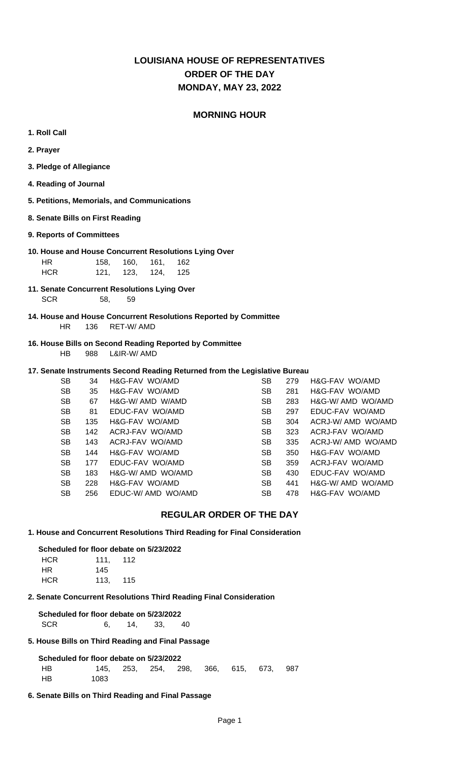## **LOUISIANA HOUSE OF REPRESENTATIVES MONDAY, MAY 23, 2022 ORDER OF THE DAY**

### **MORNING HOUR**

- **1. Roll Call**
- **2. Prayer**
- **3. Pledge of Allegiance**
- **4. Reading of Journal**
- **5. Petitions, Memorials, and Communications**
- **8. Senate Bills on First Reading**

#### **9. Reports of Committees**

- **10. House and House Concurrent Resolutions Lying Over** HR 158, 160, 161, 162 HCR 121, 123, 124, 125
- **11. Senate Concurrent Resolutions Lying Over** SCR 58, 59
- **14. House and House Concurrent Resolutions Reported by Committee** HR 136 RET-W/ AMD
- **16. House Bills on Second Reading Reported by Committee** HB 988 L&IR-W/ AMD

#### **17. Senate Instruments Second Reading Returned from the Legislative Bureau**

| <b>SB</b> | 34  | H&G-FAV WO/AMD     | <b>SB</b> | 279 | H&G-FAV WO/AMD     |
|-----------|-----|--------------------|-----------|-----|--------------------|
| <b>SB</b> | 35  | H&G-FAV WO/AMD     | <b>SB</b> | 281 | H&G-FAV WO/AMD     |
| <b>SB</b> | 67  | H&G-W/ AMD W/AMD   | <b>SB</b> | 283 | H&G-W/ AMD WO/AMD  |
| <b>SB</b> | 81  | EDUC-FAV WO/AMD    | <b>SB</b> | 297 | EDUC-FAV WO/AMD    |
| <b>SB</b> | 135 | H&G-FAV WO/AMD     | <b>SB</b> | 304 | ACRJ-W/ AMD WO/AMD |
| <b>SB</b> | 142 | ACRJ-FAV WO/AMD    | <b>SB</b> | 323 | ACRJ-FAV WO/AMD    |
| <b>SB</b> | 143 | ACRJ-FAV WO/AMD    | <b>SB</b> | 335 | ACRJ-W/AMD WO/AMD  |
| <b>SB</b> | 144 | H&G-FAV WO/AMD     | <b>SB</b> | 350 | H&G-FAV WO/AMD     |
| <b>SB</b> | 177 | EDUC-FAV WO/AMD    | <b>SB</b> | 359 | ACRJ-FAV WO/AMD    |
| <b>SB</b> | 183 | H&G-W/ AMD WO/AMD  | <b>SB</b> | 430 | EDUC-FAV WO/AMD    |
| <b>SB</b> | 228 | H&G-FAV WO/AMD     | <b>SB</b> | 441 | H&G-W/ AMD WO/AMD  |
| <b>SB</b> | 256 | EDUC-W/ AMD WO/AMD | <b>SB</b> | 478 | H&G-FAV WO/AMD     |
|           |     |                    |           |     |                    |

#### **REGULAR ORDER OF THE DAY**

**1. House and Concurrent Resolutions Third Reading for Final Consideration**

 **Scheduled for floor debate on 5/23/2022** HCR 111, 112

| .    | . ,  | .   |
|------|------|-----|
| HR   | 145  |     |
| HCR. | 113. | 115 |
|      |      |     |

**2. Senate Concurrent Resolutions Third Reading Final Consideration**

| Scheduled for floor debate on 5/23/2022 |     |      |    |
|-----------------------------------------|-----|------|----|
| <b>SCR</b>                              | 14. | -33. | 40 |

#### **5. House Bills on Third Reading and Final Passage**

 **Scheduled for floor debate on 5/23/2022** HB 145, 253, 254, 298, 366, 615, 673, 987 HB 1083

**6. Senate Bills on Third Reading and Final Passage**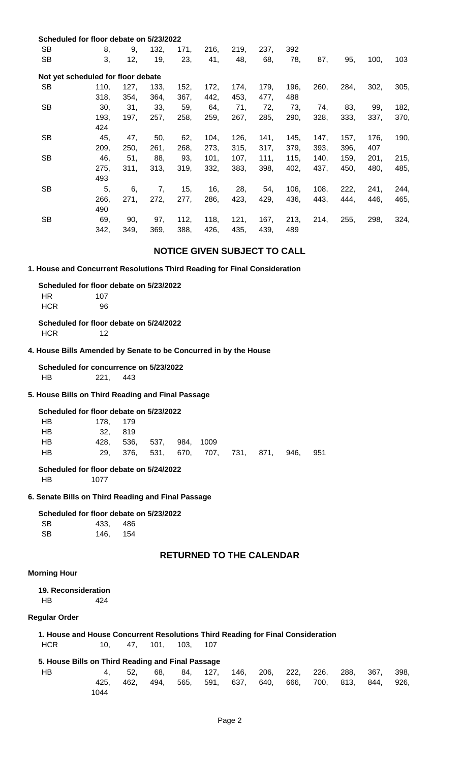|           | Scheduled for floor debate on 5/23/2022 |      |      |      |      |      |      |      |      |      |      |      |
|-----------|-----------------------------------------|------|------|------|------|------|------|------|------|------|------|------|
| <b>SB</b> | 8,                                      | 9,   | 132, | 171, | 216, | 219, | 237, | 392  |      |      |      |      |
| <b>SB</b> | 3,                                      | 12,  | 19,  | 23,  | 41,  | 48,  | 68,  | 78,  | 87,  | 95,  | 100, | 103  |
|           | Not yet scheduled for floor debate      |      |      |      |      |      |      |      |      |      |      |      |
| <b>SB</b> | 110,                                    | 127, | 133, | 152, | 172, | 174, | 179, | 196, | 260, | 284, | 302, | 305, |
|           | 318,                                    | 354, | 364, | 367, | 442, | 453, | 477, | 488  |      |      |      |      |
| <b>SB</b> | 30,                                     | 31,  | 33,  | 59,  | 64,  | 71,  | 72,  | 73,  | 74,  | 83,  | 99,  | 182, |
|           | 193,                                    | 197. | 257, | 258, | 259, | 267, | 285, | 290, | 328, | 333, | 337, | 370, |
|           | 424                                     |      |      |      |      |      |      |      |      |      |      |      |
| <b>SB</b> | 45,                                     | 47,  | 50,  | 62,  | 104, | 126, | 141, | 145, | 147, | 157, | 176, | 190, |
|           | 209,                                    | 250, | 261, | 268, | 273, | 315, | 317, | 379, | 393, | 396, | 407  |      |
| <b>SB</b> | 46,                                     | 51,  | 88,  | 93,  | 101, | 107, | 111, | 115, | 140, | 159, | 201, | 215, |
|           | 275,                                    | 311. | 313, | 319, | 332, | 383, | 398, | 402, | 437, | 450, | 480, | 485, |
|           | 493                                     |      |      |      |      |      |      |      |      |      |      |      |
| <b>SB</b> | 5,                                      | 6,   | 7,   | 15,  | 16,  | 28,  | 54,  | 106, | 108, | 222, | 241, | 244, |
|           | 266,                                    | 271, | 272, | 277, | 286, | 423, | 429, | 436, | 443, | 444, | 446, | 465, |
|           | 490                                     |      |      |      |      |      |      |      |      |      |      |      |
| <b>SB</b> | 69,                                     | 90.  | 97,  | 112, | 118, | 121, | 167, | 213, | 214, | 255, | 298, | 324, |
|           | 342,                                    | 349, | 369, | 388, | 426, | 435, | 439, | 489  |      |      |      |      |
|           |                                         |      |      |      |      |      |      |      |      |      |      |      |

### **NOTICE GIVEN SUBJECT TO CALL**

#### **1. House and Concurrent Resolutions Third Reading for Final Consideration**

 **Scheduled for floor debate on 5/23/2022**

| HR.        | 107 |
|------------|-----|
| <b>HCR</b> | 96  |

 **Scheduled for floor debate on 5/24/2022** HCR 12

#### **4. House Bills Amended by Senate to be Concurred in by the House**

 **Scheduled for concurrence on 5/23/2022** HB 221, 443

#### **5. House Bills on Third Reading and Final Passage**

#### **Scheduled for floor debate on 5/23/2022**

| HB        | 178. 179 |                          |                                   |  |      |       |
|-----------|----------|--------------------------|-----------------------------------|--|------|-------|
| <b>HB</b> | 32. 819  |                          |                                   |  |      |       |
| HB        |          | 428, 536, 537, 984, 1009 |                                   |  |      |       |
| HB        |          |                          | 29, 376, 531, 670, 707, 731, 871, |  | 946. | - 951 |
|           |          |                          |                                   |  |      |       |

### **Scheduled for floor debate on 5/24/2022**

HB 1077

#### **6. Senate Bills on Third Reading and Final Passage**

#### **Scheduled for floor debate on 5/23/2022**

| <b>SB</b> | 433. | 486 |
|-----------|------|-----|
| <b>SB</b> | 146, | 154 |

## **RETURNED TO THE CALENDAR**

#### **Morning Hour**

 **19. Reconsideration** HB 424

#### **Regular Order**

#### **1. House and House Concurrent Resolutions Third Reading for Final Consideration** HCR 10, 47, 101, 103, 107

### **5. House Bills on Third Reading and Final Passage**

| HВ |      |  |  | 4, 52, 68, 84, 127, 146, 206, 222, 226, 288, 367, 398,      |  |  |  |
|----|------|--|--|-------------------------------------------------------------|--|--|--|
|    |      |  |  | 425, 462, 494, 565, 591, 637, 640, 666, 700, 813, 844, 926, |  |  |  |
|    | 1044 |  |  |                                                             |  |  |  |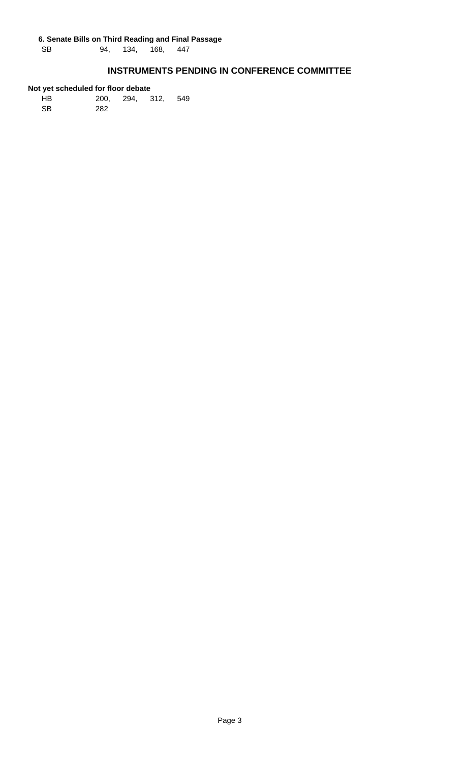SB 94, 134, 168, 447

## **INSTRUMENTS PENDING IN CONFERENCE COMMITTEE**

| HB. |     | 200, 294, 312, 549 |  |
|-----|-----|--------------------|--|
| SB. | 282 |                    |  |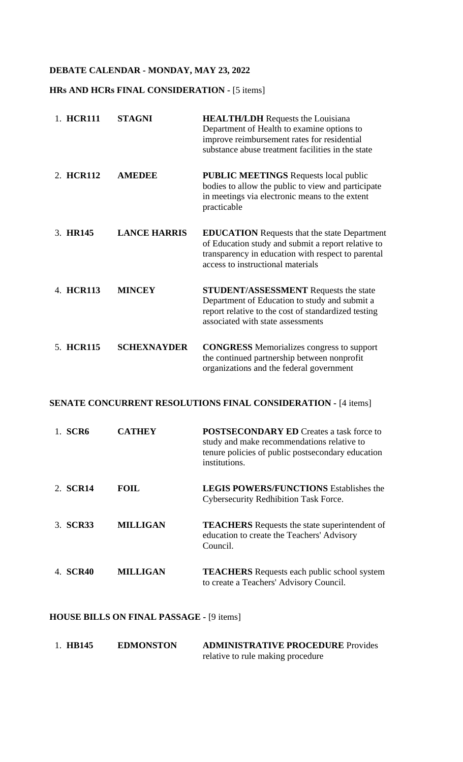## **DEBATE CALENDAR - MONDAY, MAY 23, 2022**

## **HRs AND HCRs FINAL CONSIDERATION -** [5 items]

| 1. HCR111 | <b>STAGNI</b>       | <b>HEALTH/LDH</b> Requests the Louisiana<br>Department of Health to examine options to<br>improve reimbursement rates for residential<br>substance abuse treatment facilities in the state           |
|-----------|---------------------|------------------------------------------------------------------------------------------------------------------------------------------------------------------------------------------------------|
| 2. HCR112 | <b>AMEDEE</b>       | <b>PUBLIC MEETINGS</b> Requests local public<br>bodies to allow the public to view and participate<br>in meetings via electronic means to the extent<br>practicable                                  |
| 3. HR145  | <b>LANCE HARRIS</b> | <b>EDUCATION</b> Requests that the state Department<br>of Education study and submit a report relative to<br>transparency in education with respect to parental<br>access to instructional materials |
| 4. HCR113 | <b>MINCEY</b>       | <b>STUDENT/ASSESSMENT</b> Requests the state<br>Department of Education to study and submit a<br>report relative to the cost of standardized testing<br>associated with state assessments            |
| 5. HCR115 | <b>SCHEXNAYDER</b>  | <b>CONGRESS</b> Memorializes congress to support<br>the continued partnership between nonprofit<br>organizations and the federal government                                                          |

## **SENATE CONCURRENT RESOLUTIONS FINAL CONSIDERATION -** [4 items]

| SCR <sub>6</sub> | <b>CATHEY</b>   | <b>POSTSECONDARY ED Creates a task force to</b><br>study and make recommendations relative to<br>tenure policies of public postsecondary education<br>institutions. |
|------------------|-----------------|---------------------------------------------------------------------------------------------------------------------------------------------------------------------|
| 2. <b>SCR14</b>  | FOIL.           | <b>LEGIS POWERS/FUNCTIONS Establishes the</b><br><b>Cybersecurity Redhibition Task Force.</b>                                                                       |
| 3. <b>SCR33</b>  | <b>MILLIGAN</b> | <b>TEACHERS</b> Requests the state superintendent of<br>education to create the Teachers' Advisory<br>Council.                                                      |
| 4. <b>SCR40</b>  | <b>MILLIGAN</b> | <b>TEACHERS</b> Requests each public school system<br>to create a Teachers' Advisory Council.                                                                       |

## **HOUSE BILLS ON FINAL PASSAGE -** [9 items]

| 1. HB145 | <b>EDMONSTON</b> | <b>ADMINISTRATIVE PROCEDURE Provides</b> |  |  |
|----------|------------------|------------------------------------------|--|--|
|          |                  | relative to rule making procedure        |  |  |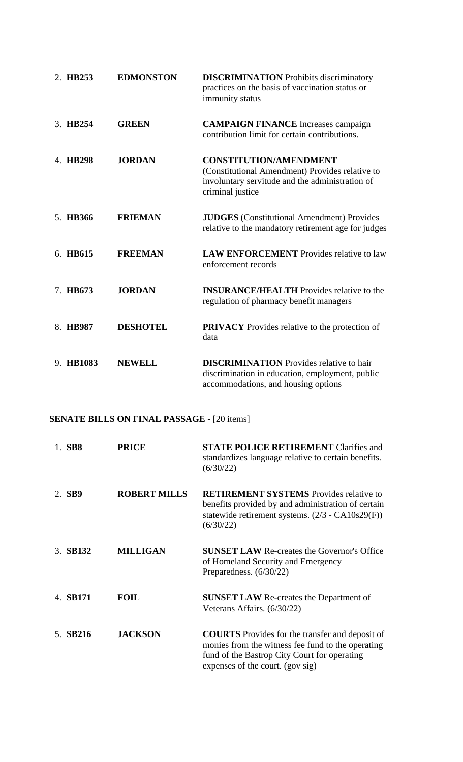| 2. HB253  | <b>EDMONSTON</b> | <b>DISCRIMINATION</b> Prohibits discriminatory<br>practices on the basis of vaccination status or<br>immunity status                                    |  |
|-----------|------------------|---------------------------------------------------------------------------------------------------------------------------------------------------------|--|
| 3. HB254  | <b>GREEN</b>     | <b>CAMPAIGN FINANCE</b> Increases campaign<br>contribution limit for certain contributions.                                                             |  |
| 4. HB298  | <b>JORDAN</b>    | <b>CONSTITUTION/AMENDMENT</b><br>(Constitutional Amendment) Provides relative to<br>involuntary servitude and the administration of<br>criminal justice |  |
| 5. HB366  | <b>FRIEMAN</b>   | <b>JUDGES</b> (Constitutional Amendment) Provides<br>relative to the mandatory retirement age for judges                                                |  |
| 6. HB615  | <b>FREEMAN</b>   | <b>LAW ENFORCEMENT</b> Provides relative to law<br>enforcement records                                                                                  |  |
| 7. HB673  | <b>JORDAN</b>    | <b>INSURANCE/HEALTH</b> Provides relative to the<br>regulation of pharmacy benefit managers                                                             |  |
| 8. HB987  | <b>DESHOTEL</b>  | <b>PRIVACY</b> Provides relative to the protection of<br>data                                                                                           |  |
| 9. HB1083 | <b>NEWELL</b>    | <b>DISCRIMINATION</b> Provides relative to hair<br>discrimination in education, employment, public<br>accommodations, and housing options               |  |

# **SENATE BILLS ON FINAL PASSAGE -** [20 items]

| 1. SB8   | <b>PRICE</b>        | <b>STATE POLICE RETIREMENT Clarifies and</b><br>standardizes language relative to certain benefits.<br>(6/30/22)                                                                                |
|----------|---------------------|-------------------------------------------------------------------------------------------------------------------------------------------------------------------------------------------------|
| 2. SB9   | <b>ROBERT MILLS</b> | <b>RETIREMENT SYSTEMS</b> Provides relative to<br>benefits provided by and administration of certain<br>statewide retirement systems. $(2/3 - CA10s29(F))$<br>(6/30/22)                         |
| 3. SB132 | <b>MILLIGAN</b>     | <b>SUNSET LAW Re-creates the Governor's Office</b><br>of Homeland Security and Emergency<br>Preparedness. $(6/30/22)$                                                                           |
| 4. SB171 | <b>FOIL</b>         | <b>SUNSET LAW Re-creates the Department of</b><br>Veterans Affairs. (6/30/22)                                                                                                                   |
| 5. SB216 | <b>JACKSON</b>      | <b>COURTS</b> Provides for the transfer and deposit of<br>monies from the witness fee fund to the operating<br>fund of the Bastrop City Court for operating<br>expenses of the court. (gov sig) |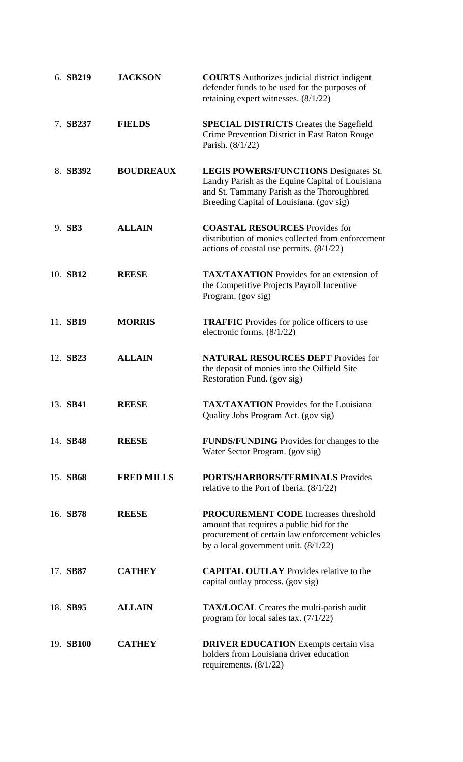| 6. SB219  | <b>JACKSON</b>    | <b>COURTS</b> Authorizes judicial district indigent<br>defender funds to be used for the purposes of<br>retaining expert witnesses. $(8/1/22)$                                             |  |  |
|-----------|-------------------|--------------------------------------------------------------------------------------------------------------------------------------------------------------------------------------------|--|--|
| 7. SB237  | <b>FIELDS</b>     | <b>SPECIAL DISTRICTS</b> Creates the Sagefield<br>Crime Prevention District in East Baton Rouge<br>Parish. (8/1/22)                                                                        |  |  |
| 8. SB392  | <b>BOUDREAUX</b>  | <b>LEGIS POWERS/FUNCTIONS Designates St.</b><br>Landry Parish as the Equine Capital of Louisiana<br>and St. Tammany Parish as the Thoroughbred<br>Breeding Capital of Louisiana. (gov sig) |  |  |
| 9. SB3    | <b>ALLAIN</b>     | <b>COASTAL RESOURCES</b> Provides for<br>distribution of monies collected from enforcement<br>actions of coastal use permits. $(8/1/22)$                                                   |  |  |
| 10. SB12  | <b>REESE</b>      | <b>TAX/TAXATION</b> Provides for an extension of<br>the Competitive Projects Payroll Incentive<br>Program. (gov sig)                                                                       |  |  |
| 11. SB19  | <b>MORRIS</b>     | <b>TRAFFIC</b> Provides for police officers to use<br>electronic forms. $(8/1/22)$                                                                                                         |  |  |
| 12. SB23  | <b>ALLAIN</b>     | <b>NATURAL RESOURCES DEPT Provides for</b><br>the deposit of monies into the Oilfield Site<br>Restoration Fund. (gov sig)                                                                  |  |  |
| 13. SB41  | REESE             | <b>TAX/TAXATION</b> Provides for the Louisiana<br>Quality Jobs Program Act. (gov sig)                                                                                                      |  |  |
| 14. SB48  | <b>REESE</b>      | <b>FUNDS/FUNDING</b> Provides for changes to the<br>Water Sector Program. (gov sig)                                                                                                        |  |  |
| 15. SB68  | <b>FRED MILLS</b> | <b>PORTS/HARBORS/TERMINALS Provides</b><br>relative to the Port of Iberia. $(8/1/22)$                                                                                                      |  |  |
| 16. SB78  | <b>REESE</b>      | <b>PROCUREMENT CODE</b> Increases threshold<br>amount that requires a public bid for the<br>procurement of certain law enforcement vehicles<br>by a local government unit. $(8/1/22)$      |  |  |
| 17. SB87  | <b>CATHEY</b>     | <b>CAPITAL OUTLAY</b> Provides relative to the<br>capital outlay process. (gov sig)                                                                                                        |  |  |
| 18. SB95  | <b>ALLAIN</b>     | <b>TAX/LOCAL</b> Creates the multi-parish audit<br>program for local sales tax. $(7/1/22)$                                                                                                 |  |  |
| 19. SB100 | <b>CATHEY</b>     | <b>DRIVER EDUCATION</b> Exempts certain visa<br>holders from Louisiana driver education<br>requirements. $(8/1/22)$                                                                        |  |  |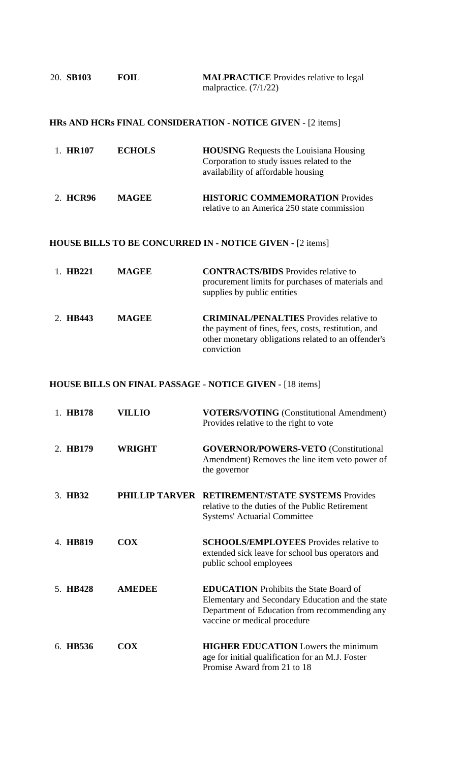| 20. SB103 | <b>FOIL</b> | <b>MALPRACTICE</b> Provides relative to legal |  |  |  |
|-----------|-------------|-----------------------------------------------|--|--|--|
|           |             | malpractice. $(7/1/22)$                       |  |  |  |

## **HRs AND HCRs FINAL CONSIDERATION - NOTICE GIVEN -** [2 items]

| 2. HCR96 | <b>MAGEE</b>  | <b>HISTORIC COMMEMORATION Provides</b>                                                                                            |  |
|----------|---------------|-----------------------------------------------------------------------------------------------------------------------------------|--|
| 1. HR107 | <b>ECHOLS</b> | <b>HOUSING</b> Requests the Louisiana Housing<br>Corporation to study issues related to the<br>availability of affordable housing |  |

relative to an America 250 state commission

## **HOUSE BILLS TO BE CONCURRED IN - NOTICE GIVEN -** [2 items]

| 1. HB221 | <b>MAGEE</b> | <b>CONTRACTS/BIDS</b> Provides relative to<br>procurement limits for purchases of materials and<br>supplies by public entities                                             |  |
|----------|--------------|----------------------------------------------------------------------------------------------------------------------------------------------------------------------------|--|
| 2. HB443 | <b>MAGEE</b> | <b>CRIMINAL/PENALTIES</b> Provides relative to<br>the payment of fines, fees, costs, restitution, and<br>other monetary obligations related to an offender's<br>conviction |  |

## **HOUSE BILLS ON FINAL PASSAGE - NOTICE GIVEN -** [18 items]

| 1. HB178 | <b>VILLIO</b> | <b>VOTERS/VOTING</b> (Constitutional Amendment)<br>Provides relative to the right to vote                                                                                          |
|----------|---------------|------------------------------------------------------------------------------------------------------------------------------------------------------------------------------------|
| 2. HB179 | <b>WRIGHT</b> | <b>GOVERNOR/POWERS-VETO</b> (Constitutional<br>Amendment) Removes the line item veto power of<br>the governor                                                                      |
| 3. HB32  |               | PHILLIP TARVER RETIREMENT/STATE SYSTEMS Provides<br>relative to the duties of the Public Retirement<br><b>Systems' Actuarial Committee</b>                                         |
| 4. HB819 | <b>COX</b>    | <b>SCHOOLS/EMPLOYEES</b> Provides relative to<br>extended sick leave for school bus operators and<br>public school employees                                                       |
| 5. HB428 | <b>AMEDEE</b> | <b>EDUCATION</b> Prohibits the State Board of<br>Elementary and Secondary Education and the state<br>Department of Education from recommending any<br>vaccine or medical procedure |
| 6. HB536 | <b>COX</b>    | <b>HIGHER EDUCATION</b> Lowers the minimum<br>age for initial qualification for an M.J. Foster<br>Promise Award from 21 to 18                                                      |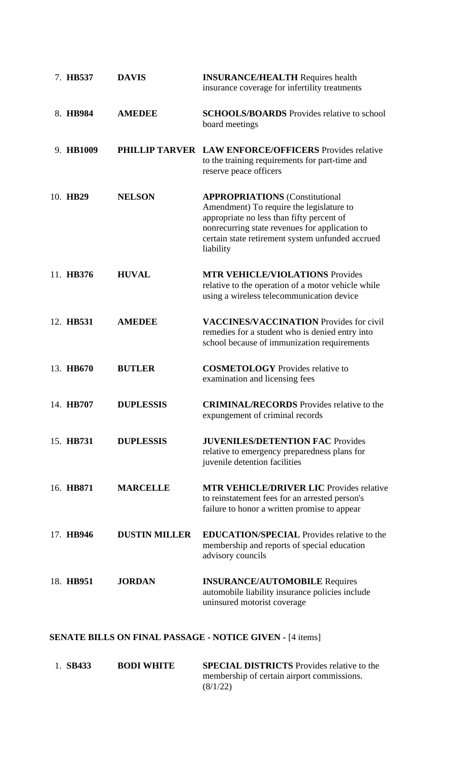| 7. HB537  | <b>DAVIS</b>         | <b>INSURANCE/HEALTH Requires health</b><br>insurance coverage for infertility treatments                                                                                                                                                          |  |  |
|-----------|----------------------|---------------------------------------------------------------------------------------------------------------------------------------------------------------------------------------------------------------------------------------------------|--|--|
| 8. HB984  | <b>AMEDEE</b>        | <b>SCHOOLS/BOARDS</b> Provides relative to school<br>board meetings                                                                                                                                                                               |  |  |
| 9. HB1009 |                      | <b>PHILLIP TARVER LAW ENFORCE/OFFICERS Provides relative</b><br>to the training requirements for part-time and<br>reserve peace officers                                                                                                          |  |  |
| 10. HB29  | <b>NELSON</b>        | <b>APPROPRIATIONS</b> (Constitutional<br>Amendment) To require the legislature to<br>appropriate no less than fifty percent of<br>nonrecurring state revenues for application to<br>certain state retirement system unfunded accrued<br>liability |  |  |
| 11. HB376 | <b>HUVAL</b>         | <b>MTR VEHICLE/VIOLATIONS Provides</b><br>relative to the operation of a motor vehicle while<br>using a wireless telecommunication device                                                                                                         |  |  |
| 12. HB531 | <b>AMEDEE</b>        | <b>VACCINES/VACCINATION</b> Provides for civil<br>remedies for a student who is denied entry into<br>school because of immunization requirements                                                                                                  |  |  |
| 13. HB670 | <b>BUTLER</b>        | <b>COSMETOLOGY</b> Provides relative to<br>examination and licensing fees                                                                                                                                                                         |  |  |
| 14. HB707 | <b>DUPLESSIS</b>     | <b>CRIMINAL/RECORDS</b> Provides relative to the<br>expungement of criminal records                                                                                                                                                               |  |  |
| 15. HB731 | <b>DUPLESSIS</b>     | <b>JUVENILES/DETENTION FAC Provides</b><br>relative to emergency preparedness plans for<br>juvenile detention facilities                                                                                                                          |  |  |
| 16. HB871 | <b>MARCELLE</b>      | <b>MTR VEHICLE/DRIVER LIC Provides relative</b><br>to reinstatement fees for an arrested person's<br>failure to honor a written promise to appear                                                                                                 |  |  |
| 17. HB946 | <b>DUSTIN MILLER</b> | <b>EDUCATION/SPECIAL</b> Provides relative to the<br>membership and reports of special education<br>advisory councils                                                                                                                             |  |  |
| 18. HB951 | <b>JORDAN</b>        | <b>INSURANCE/AUTOMOBILE Requires</b><br>automobile liability insurance policies include<br>uninsured motorist coverage                                                                                                                            |  |  |

## **SENATE BILLS ON FINAL PASSAGE - NOTICE GIVEN -** [4 items]

| 1. SB433 | <b>BODI WHITE</b> | <b>SPECIAL DISTRICTS</b> Provides relative to the |
|----------|-------------------|---------------------------------------------------|
|          |                   | membership of certain airport commissions.        |
|          |                   | (8/1/22)                                          |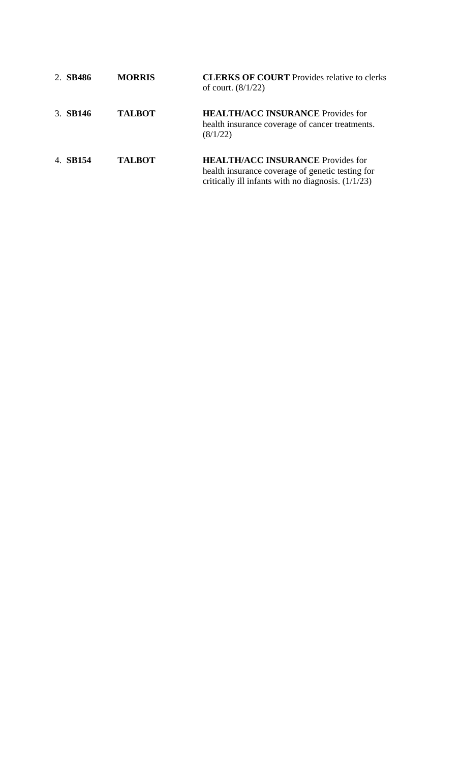| 2. SB486 | <b>MORRIS</b> | <b>CLERKS OF COURT</b> Provides relative to clerks<br>of court. $(8/1/22)$                                                                           |
|----------|---------------|------------------------------------------------------------------------------------------------------------------------------------------------------|
| 3. SB146 | <b>TALBOT</b> | <b>HEALTH/ACC INSURANCE Provides for</b><br>health insurance coverage of cancer treatments.<br>(8/1/22)                                              |
| 4. SB154 | <b>TALBOT</b> | <b>HEALTH/ACC INSURANCE Provides for</b><br>health insurance coverage of genetic testing for<br>critically ill infants with no diagnosis. $(1/1/23)$ |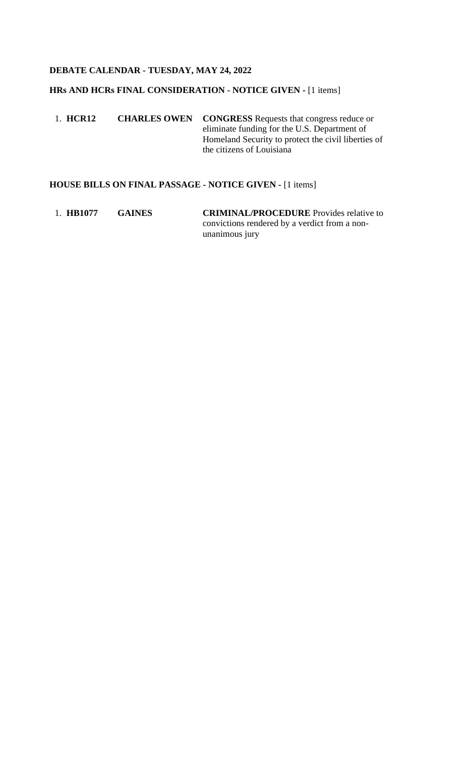## **DEBATE CALENDAR - TUESDAY, MAY 24, 2022**

## **HRs AND HCRs FINAL CONSIDERATION - NOTICE GIVEN -** [1 items]

1. **HCR12 CHARLES OWEN CONGRESS** Requests that congress reduce or eliminate funding for the U.S. Department of Homeland Security to protect the civil liberties of the citizens of Louisiana

### **HOUSE BILLS ON FINAL PASSAGE - NOTICE GIVEN -** [1 items]

1. **HB1077 GAINES CRIMINAL/PROCEDURE** Provides relative to convictions rendered by a verdict from a nonunanimous jury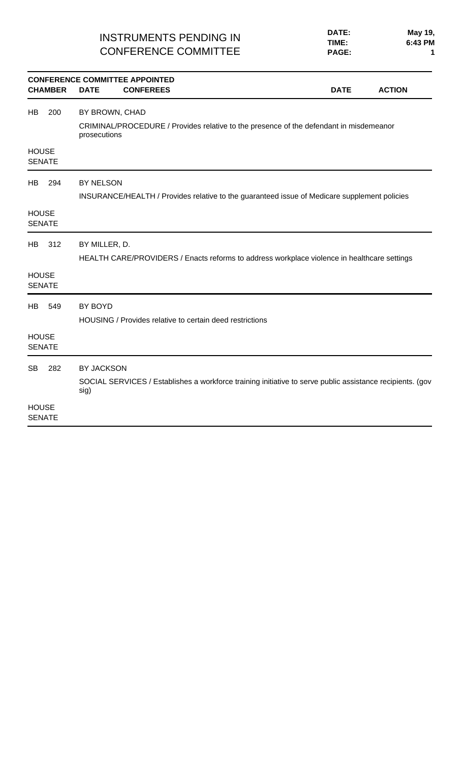## INSTRUMENTS PENDING IN CONFERENCE COMMITTEE

| <b>CHAMBER</b>                             | <b>DATE</b>                    | <b>CONFERENCE COMMITTEE APPOINTED</b><br><b>CONFEREES</b> |                                                                                                           | <b>DATE</b> | <b>ACTION</b> |
|--------------------------------------------|--------------------------------|-----------------------------------------------------------|-----------------------------------------------------------------------------------------------------------|-------------|---------------|
| 200<br>HB                                  | BY BROWN, CHAD<br>prosecutions |                                                           | CRIMINAL/PROCEDURE / Provides relative to the presence of the defendant in misdemeanor                    |             |               |
| <b>HOUSE</b><br><b>SENATE</b>              |                                |                                                           |                                                                                                           |             |               |
| 294<br>HB<br><b>HOUSE</b><br><b>SENATE</b> | BY NELSON                      |                                                           | INSURANCE/HEALTH / Provides relative to the guaranteed issue of Medicare supplement policies              |             |               |
| 312<br>HB<br><b>HOUSE</b>                  | BY MILLER, D.                  |                                                           | HEALTH CARE/PROVIDERS / Enacts reforms to address workplace violence in healthcare settings               |             |               |
| <b>SENATE</b>                              |                                |                                                           |                                                                                                           |             |               |
| HB<br>549                                  | BY BOYD                        | HOUSING / Provides relative to certain deed restrictions  |                                                                                                           |             |               |
| <b>HOUSE</b><br><b>SENATE</b>              |                                |                                                           |                                                                                                           |             |               |
| <b>SB</b><br>282                           | BY JACKSON<br>sig)             |                                                           | SOCIAL SERVICES / Establishes a workforce training initiative to serve public assistance recipients. (gov |             |               |
| <b>HOUSE</b><br><b>SENATE</b>              |                                |                                                           |                                                                                                           |             |               |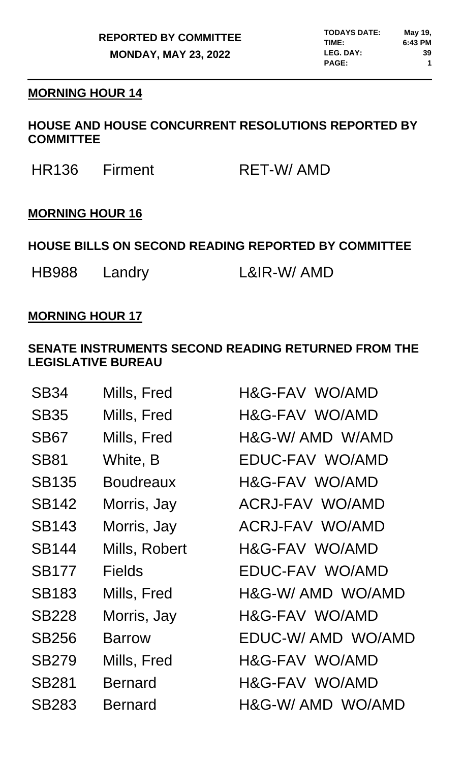## **MORNING HOUR 14**

## **HOUSE AND HOUSE CONCURRENT RESOLUTIONS REPORTED BY COMMITTEE**

HR136 Firment RET-W/ AMD

# **MORNING HOUR 16**

# **HOUSE BILLS ON SECOND READING REPORTED BY COMMITTEE**

HB988 Landry L&IR-W/AMD

## **MORNING HOUR 17**

## **SENATE INSTRUMENTS SECOND READING RETURNED FROM THE LEGISLATIVE BUREAU**

| SB34         | Mills, Fred      | H&G-FAV WO/AMD    |
|--------------|------------------|-------------------|
| <b>SB35</b>  | Mills, Fred      | H&G-FAV WO/AMD    |
| <b>SB67</b>  | Mills, Fred      | H&G-W/AMD W/AMD   |
| <b>SB81</b>  | White, B         | EDUC-FAV WO/AMD   |
| <b>SB135</b> | <b>Boudreaux</b> | H&G-FAV WO/AMD    |
| <b>SB142</b> | Morris, Jay      | ACRJ-FAV WO/AMD   |
| <b>SB143</b> | Morris, Jay      | ACRJ-FAV WO/AMD   |
| <b>SB144</b> | Mills, Robert    | H&G-FAV WO/AMD    |
| <b>SB177</b> | <b>Fields</b>    | EDUC-FAV WO/AMD   |
| <b>SB183</b> | Mills, Fred      | H&G-W/AMD WO/AMD  |
| <b>SB228</b> | Morris, Jay      | H&G-FAV WO/AMD    |
| <b>SB256</b> | <b>Barrow</b>    | EDUC-W/AMD WO/AMD |
| <b>SB279</b> | Mills, Fred      | H&G-FAV WO/AMD    |
| <b>SB281</b> | <b>Bernard</b>   | H&G-FAV WO/AMD    |
| <b>SB283</b> | <b>Bernard</b>   | H&G-W/AMD WO/AMD  |
|              |                  |                   |